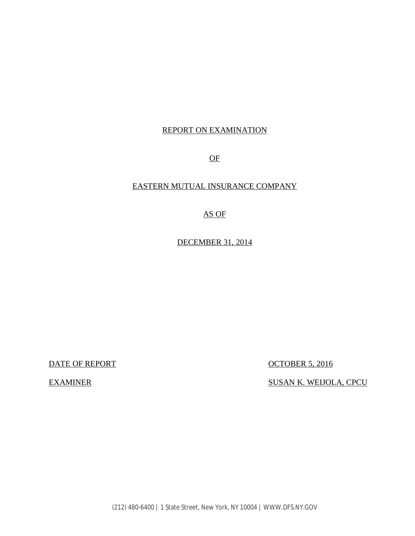### REPORT ON EXAMINATION

OF

#### EASTERN MUTUAL INSURANCE COMPANY

#### AS OF

DECEMBER 31, 2014

**EXAMINER** 

DATE OF REPORT CONTROLLER STATE OF REPORT

SUSAN K. WEIJOLA, CPCU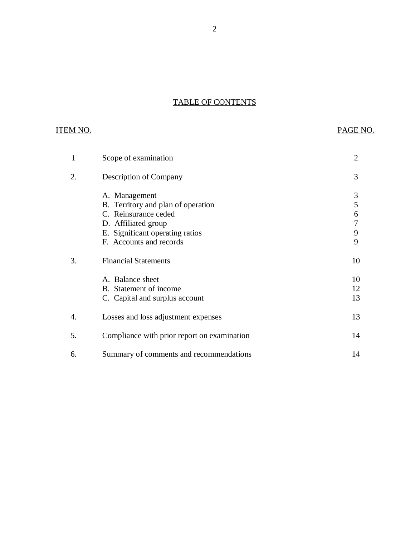#### TABLE OF CONTENTS

## **ITEM NO.**

## PAGE NO.

| 1  | Scope of examination                                                                                                                                             | $\overline{2}$        |
|----|------------------------------------------------------------------------------------------------------------------------------------------------------------------|-----------------------|
| 2. | Description of Company                                                                                                                                           | 3                     |
|    | A. Management<br>B. Territory and plan of operation<br>C. Reinsurance ceded<br>D. Affiliated group<br>E. Significant operating ratios<br>F. Accounts and records | 3<br>5<br>6<br>9<br>9 |
| 3. | <b>Financial Statements</b>                                                                                                                                      | 10                    |
|    | A. Balance sheet<br>B. Statement of income<br>C. Capital and surplus account                                                                                     | 10<br>12<br>13        |
| 4. | Losses and loss adjustment expenses                                                                                                                              | 13                    |
| 5. | Compliance with prior report on examination                                                                                                                      | 14                    |
| 6. | Summary of comments and recommendations                                                                                                                          | 14                    |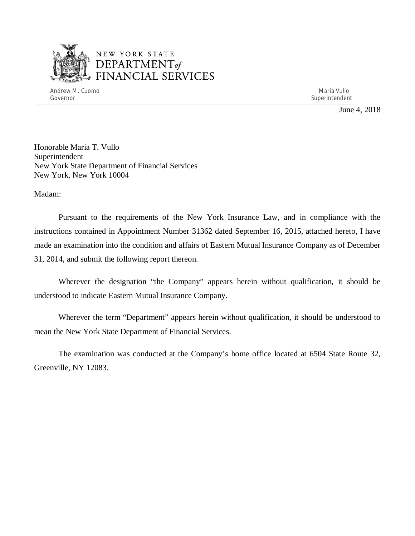

## NEW YORK STATE *DEPARTMENTof*  FINANCIAL SERVICES

Andrew M. Cuomo Maria Vullo (1999), and the control of the control of the control of the control of the control of the control of the control of the control of the control of the control of the control of the control of th Governor Superintendent Superintendent Superintendent Superintendent Superintendent Superintendent Superintendent

June 4, 2018

 Honorable Maria T. Vullo New York State Department of Financial Services Superintendent New York, New York 10004

Madam:

 Pursuant to the requirements of the New York Insurance Law, and in compliance with the instructions contained in Appointment Number 31362 dated September 16, 2015, attached hereto, I have made an examination into the condition and affairs of Eastern Mutual Insurance Company as of December 31, 2014, and submit the following report thereon.

 Wherever the designation "the Company" appears herein without qualification, it should be understood to indicate Eastern Mutual Insurance Company.

 Wherever the term "Department" appears herein without qualification, it should be understood to mean the New York State Department of Financial Services.

 Greenville, NY 12083. The examination was conducted at the Company's home office located at 6504 State Route 32,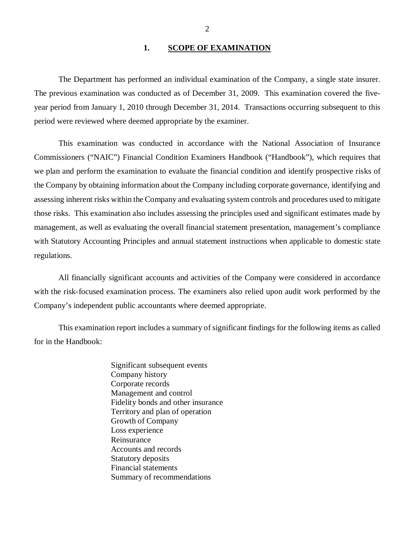#### **1. SCOPE OF EXAMINATION**

 The Department has performed an individual examination of the Company*,* a single state insurer. The previous examination was conducted as of December 31, 2009. This examination covered the five- year period from January 1, 2010 through December 31, 2014. Transactions occurring subsequent to this period were reviewed where deemed appropriate by the examiner.

 Commissioners ("NAIC") Financial Condition Examiners Handbook ("Handbook"), which requires that we plan and perform the examination to evaluate the financial condition and identify prospective risks of the Company by obtaining information about the Company including corporate governance, identifying and assessing inherent risks within the Company and evaluating system controls and procedures used to mitigate those risks. This examination also includes assessing the principles used and significant estimates made by management, as well as evaluating the overall financial statement presentation, management's compliance with Statutory Accounting Principles and annual statement instructions when applicable to domestic state regulations. This examination was conducted in accordance with the National Association of Insurance

 with the risk-focused examination process. The examiners also relied upon audit work performed by the Company's independent public accountants where deemed appropriate. All financially significant accounts and activities of the Company were considered in accordance

 for in the Handbook: This examination report includes a summary of significant findings for the following items as called

> Significant subsequent events Company history Corporate records Management and control Fidelity bonds and other insurance Territory and plan of operation Growth of Company Loss experience Reinsurance Reinsurance Accounts and records Statutory deposits Financial statements Summary of recommendations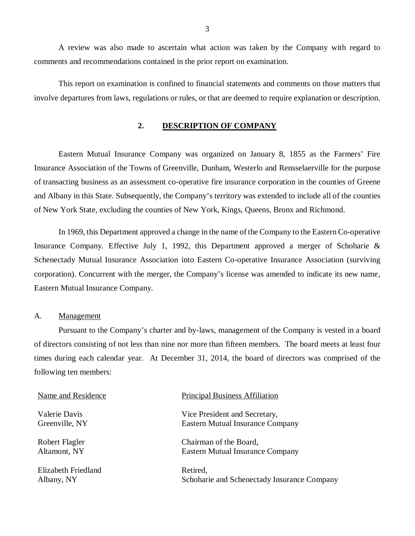comments and recommendations contained in the prior report on examination. A review was also made to ascertain what action was taken by the Company with regard to

 involve departures from laws, regulations or rules, or that are deemed to require explanation or description. This report on examination is confined to financial statements and comments on those matters that

#### **2. DESCRIPTION OF COMPANY**

 Eastern Mutual Insurance Company was organized on January 8, 1855 as the Farmers' Fire Insurance Association of the Towns of Greenville, Dunham, Westerlo and Rensselaerville for the purpose of transacting business as an assessment co-operative fire insurance corporation in the counties of Greene and Albany in this State. Subsequently, the Company's territory was extended to include all of the counties of New York State, excluding the counties of New York, Kings, Queens, Bronx and Richmond.

 In 1969, this Department approved a change in the name of the Company to the Eastern Co-operative Insurance Company. Effective July 1, 1992, this Department approved a merger of Schoharie & Schenectady Mutual Insurance Association into Eastern Co-operative Insurance Association (surviving corporation). Concurrent with the merger, the Company's license was amended to indicate its new name, Eastern Mutual Insurance Company.

#### A. Management

 Pursuant to the Company's charter and by-laws, management of the Company is vested in a board of directors consisting of not less than nine nor more than fifteen members. The board meets at least four times during each calendar year. At December 31, 2014, the board of directors was comprised of the following ten members:

| Name and Residence  | <b>Principal Business Affiliation</b>       |
|---------------------|---------------------------------------------|
| Valerie Davis       | Vice President and Secretary,               |
| Greenville, NY      | Eastern Mutual Insurance Company            |
| Robert Flagler      | Chairman of the Board,                      |
| Altamont, NY        | Eastern Mutual Insurance Company            |
| Elizabeth Friedland | Retired,                                    |
| Albany, NY          | Schoharie and Schenectady Insurance Company |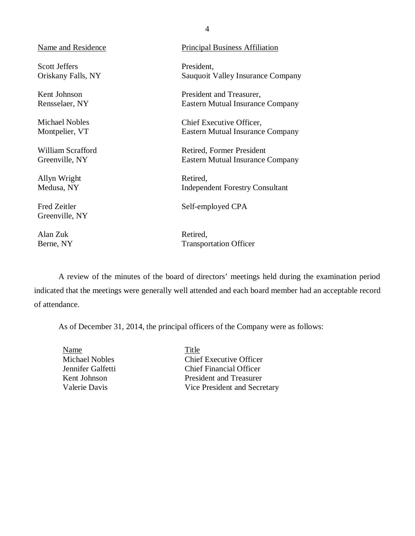| <b>Principal Business Affiliation</b>                         |
|---------------------------------------------------------------|
| President,<br>Sauquoit Valley Insurance Company               |
| President and Treasurer,<br>Eastern Mutual Insurance Company  |
| Chief Executive Officer,<br>Eastern Mutual Insurance Company  |
| Retired, Former President<br>Eastern Mutual Insurance Company |
| Retired,<br><b>Independent Forestry Consultant</b>            |
| Self-employed CPA                                             |
| Retired,<br><b>Transportation Officer</b>                     |
|                                                               |

 indicated that the meetings were generally well attended and each board member had an acceptable record of attendance. A review of the minutes of the board of directors' meetings held during the examination period

As of December 31, 2014, the principal officers of the Company were as follows:

**Michael Nobles** Jennifer Galfetti Kent Johnson Valerie Davis Name Title

Chief Executive Officer Chief Financial Officer President and Treasurer Vice President and Secretary

4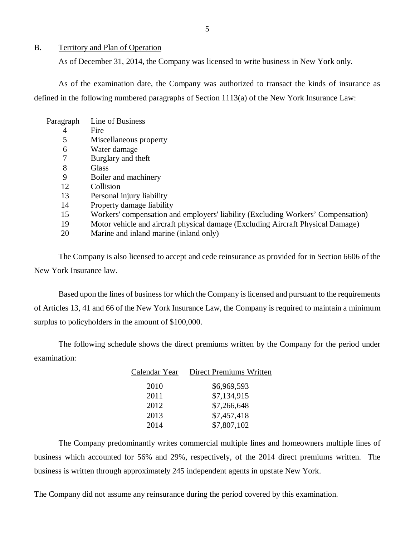#### <span id="page-6-0"></span>B. Territory and Plan of Operation

As of December 31, 2014, the Company was licensed to write business in New York only.

 defined in the following numbered paragraphs of Section 1113(a) of the New York Insurance Law: As of the examination date, the Company was authorized to transact the kinds of insurance as

| Pa <u>ragraph</u> | Line of Business                                                                 |
|-------------------|----------------------------------------------------------------------------------|
| 4                 | Fire                                                                             |
| 5                 | Miscellaneous property                                                           |
| 6                 | Water damage                                                                     |
|                   | Burglary and theft                                                               |
| 8                 | Glass                                                                            |
| 9                 | Boiler and machinery                                                             |
| 12                | Collision                                                                        |
| 13                | Personal injury liability                                                        |
| 14                | Property damage liability                                                        |
| 15                | Workers' compensation and employers' liability (Excluding Workers' Compensation) |
| 19                | Motor vehicle and aircraft physical damage (Excluding Aircraft Physical Damage)  |
| 20                | Marine and inland marine (inland only)                                           |

 New York Insurance law. The Company is also licensed to accept and cede reinsurance as provided for in Section 6606 of the

 Based upon the lines of business for which the Company is licensed and pursuant to the requirements of Articles 13, 41 and 66 of the New York Insurance Law, the Company is required to maintain a minimum surplus to policyholders in the amount of \$100,000.

The following schedule shows the direct premiums written by the Company for the period under examination:

| Calendar Year | Direct Premiums Written |
|---------------|-------------------------|
| 2010          | \$6,969,593             |
| 2011          | \$7,134,915             |
| 2012          | \$7,266,648             |
| 2013          | \$7,457,418             |
| 2014          | \$7,807,102             |

 business which accounted for 56% and 29%, respectively, of the 2014 direct premiums written. The business is written through approximately 245 independent agents in upstate New York. The Company predominantly writes commercial multiple lines and homeowners multiple lines of

The Company did not assume any reinsurance during the period covered by this examination.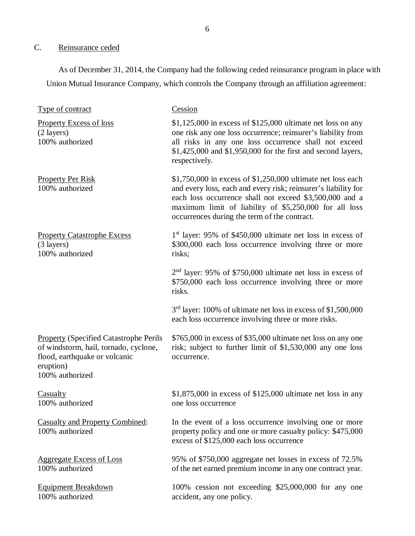#### C. Reinsurance ceded

 As of December 31, 2014, the Company had the following ceded reinsurance program in place with Union Mutual Insurance Company, which controls the Company through an affiliation agreement:

| Type of contract                                                                                                                                        | Cession                                                                                                                                                                                                                                                                                              |
|---------------------------------------------------------------------------------------------------------------------------------------------------------|------------------------------------------------------------------------------------------------------------------------------------------------------------------------------------------------------------------------------------------------------------------------------------------------------|
| <b>Property Excess of loss</b><br>$(2 \text{ layers})$<br>100% authorized                                                                               | $$1,125,000$ in excess of $$125,000$ ultimate net loss on any<br>one risk any one loss occurrence; reinsurer's liability from<br>all risks in any one loss occurrence shall not exceed<br>$$1,425,000$ and $$1,950,000$ for the first and second layers,<br>respectively.                            |
| <b>Property Per Risk</b><br>100% authorized                                                                                                             | $$1,750,000$ in excess of $$1,250,000$ ultimate net loss each<br>and every loss, each and every risk; reinsurer's liability for<br>each loss occurrence shall not exceed \$3,500,000 and a<br>maximum limit of liability of \$5,250,000 for all loss<br>occurrences during the term of the contract. |
| <b>Property Catastrophe Excess</b><br>$(3 \text{ layers})$<br>100% authorized                                                                           | $1st$ layer: 95% of \$450,000 ultimate net loss in excess of<br>\$300,000 each loss occurrence involving three or more<br>risks;                                                                                                                                                                     |
|                                                                                                                                                         | $2nd$ layer: 95% of \$750,000 ultimate net loss in excess of<br>\$750,000 each loss occurrence involving three or more<br>risks.                                                                                                                                                                     |
|                                                                                                                                                         | $3rd$ layer: 100% of ultimate net loss in excess of \$1,500,000<br>each loss occurrence involving three or more risks.                                                                                                                                                                               |
| <b>Property (Specified Catastrophe Perils</b><br>of windstorm, hail, tornado, cyclone,<br>flood, earthquake or volcanic<br>eruption)<br>100% authorized | \$765,000 in excess of \$35,000 ultimate net loss on any one<br>risk; subject to further limit of \$1,530,000 any one loss<br>occurrence.                                                                                                                                                            |
| <b>Casualty</b><br>100% authorized                                                                                                                      | $$1,875,000$ in excess of $$125,000$ ultimate net loss in any<br>one loss occurrence                                                                                                                                                                                                                 |
| <b>Casualty and Property Combined:</b><br>100% authorized                                                                                               | In the event of a loss occurrence involving one or more<br>property policy and one or more casualty policy: \$475,000<br>excess of \$125,000 each loss occurrence                                                                                                                                    |
| <b>Aggregate Excess of Loss</b><br>100% authorized                                                                                                      | 95% of \$750,000 aggregate net losses in excess of 72.5%<br>of the net earned premium income in any one contract year.                                                                                                                                                                               |
| <b>Equipment Breakdown</b><br>100% authorized                                                                                                           | 100% cession not exceeding \$25,000,000 for any one<br>accident, any one policy.                                                                                                                                                                                                                     |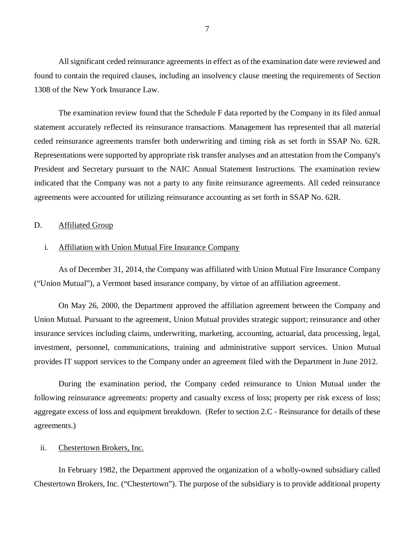<span id="page-8-0"></span> All significant ceded reinsurance agreements in effect as of the examination date were reviewed and found to contain the required clauses, including an insolvency clause meeting the requirements of Section 1308 of the New York Insurance Law.

 The examination review found that the Schedule F data reported by the Company in its filed annual statement accurately reflected its reinsurance transactions. Management has represented that all material ceded reinsurance agreements transfer both underwriting and timing risk as set forth in SSAP No. 62R. Representations were supported by appropriate risk transfer analyses and an attestation from the Company's President and Secretary pursuant to the NAIC Annual Statement Instructions. The examination review indicated that the Company was not a party to any finite reinsurance agreements. All ceded reinsurance agreements were accounted for utilizing reinsurance accounting as set forth in SSAP No. 62R.

#### D. Affiliated Group

#### i. Affiliation with Union Mutual Fire Insurance Company

 ("Union Mutual"), a Vermont based insurance company, by virtue of an affiliation agreement. As of December 31, 2014, the Company was affiliated with Union Mutual Fire Insurance Company

 Union Mutual. Pursuant to the agreement, Union Mutual provides strategic support; reinsurance and other insurance services including claims, underwriting, marketing, accounting, actuarial, data processing, legal, investment, personnel, communications, training and administrative support services. Union Mutual provides IT support services to the Company under an agreement filed with the Department in June 2012. On May 26, 2000, the Department approved the affiliation agreement between the Company and

 During the examination period, the Company ceded reinsurance to Union Mutual under the following reinsurance agreements: property and casualty excess of loss; property per risk excess of loss; aggregate excess of loss and equipment breakdown. (Refer to section 2.C - Reinsurance for details of these agreements.)

#### ii. Chestertown Brokers, Inc.

 Chestertown Brokers, Inc. ("Chestertown"). The purpose of the subsidiary is to provide additional property In February 1982, the Department approved the organization of a wholly-owned subsidiary called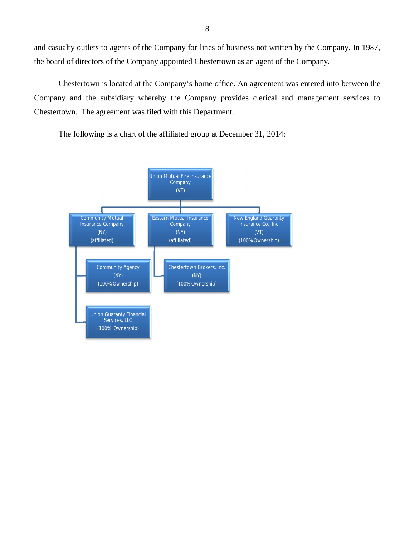and casualty outlets to agents of the Company for lines of business not written by the Company. In 1987, the board of directors of the Company appointed Chestertown as an agent of the Company.

 Chestertown is located at the Company's home office. An agreement was entered into between the Company and the subsidiary whereby the Company provides clerical and management services to Chestertown. The agreement was filed with this Department.

The following is a chart of the affiliated group at December 31, 2014:

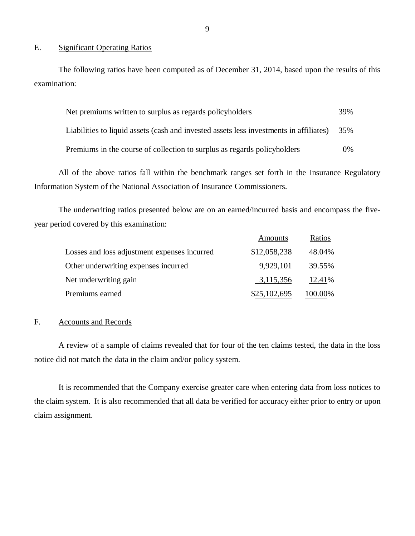#### E. Significant Operating Ratios

The following ratios have been computed as of December 31, 2014, based upon the results of this examination:

| Net premiums written to surplus as regards policyholders                               |       |
|----------------------------------------------------------------------------------------|-------|
| Liabilities to liquid assets (cash and invested assets less investments in affiliates) | 35%   |
| Premiums in the course of collection to surplus as regards policyholders               | $0\%$ |

 Information System of the National Association of Insurance Commissioners. All of the above ratios fall within the benchmark ranges set forth in the Insurance Regulatory

 year period covered by this examination: The underwriting ratios presented below are on an earned/incurred basis and encompass the five-

|                                              | Amounts      | Ratios  |
|----------------------------------------------|--------------|---------|
| Losses and loss adjustment expenses incurred | \$12,058,238 | 48.04%  |
| Other underwriting expenses incurred         | 9,929,101    | 39.55%  |
| Net underwriting gain                        | 3,115,356    | 12.41%  |
| Premiums earned                              | \$25,102,695 | 100.00% |

#### F. Accounts and Records

 A review of a sample of claims revealed that for four of the ten claims tested, the data in the loss notice did not match the data in the claim and/or policy system.

 the claim system. It is also recommended that all data be verified for accuracy either prior to entry or upon claim assignment. It is recommended that the Company exercise greater care when entering data from loss notices to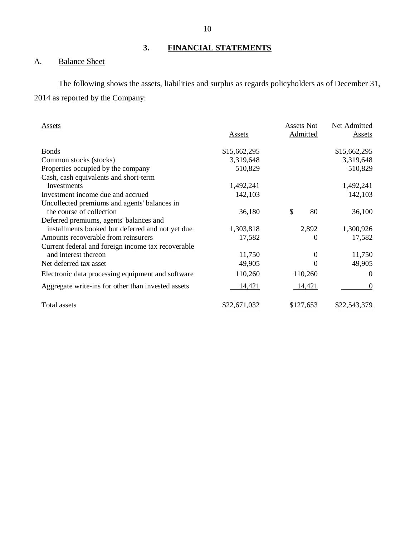## **3. FINANCIAL STATEMENTS**

#### A. **Balance Sheet**

 2014 as reported by the Company: The following shows the assets, liabilities and surplus as regards policyholders as of December 31,

| Assets                                             | <b>Assets</b> | Assets Not<br>Admitted | Net Admitted<br>Assets |
|----------------------------------------------------|---------------|------------------------|------------------------|
| <b>Bonds</b>                                       | \$15,662,295  |                        | \$15,662,295           |
| Common stocks (stocks)                             | 3,319,648     |                        | 3,319,648              |
| Properties occupied by the company                 | 510,829       |                        | 510,829                |
| Cash, cash equivalents and short-term              |               |                        |                        |
| Investments                                        | 1,492,241     |                        | 1,492,241              |
| Investment income due and accrued                  | 142,103       |                        | 142,103                |
| Uncollected premiums and agents' balances in       |               |                        |                        |
| the course of collection                           | 36,180        | \$<br>80               | 36,100                 |
| Deferred premiums, agents' balances and            |               |                        |                        |
| installments booked but deferred and not yet due   | 1,303,818     | 2,892                  | 1,300,926              |
| Amounts recoverable from reinsurers                | 17,582        | $^{(1)}$               | 17,582                 |
| Current federal and foreign income tax recoverable |               |                        |                        |
| and interest thereon                               | 11,750        | $^{(1)}$               | 11,750                 |
| Net deferred tax asset                             | 49,905        | $\Omega$               | 49,905                 |
| Electronic data processing equipment and software  | 110,260       | 110,260                | $\Omega$               |
| Aggregate write-ins for other than invested assets | 14,421        | 14,421                 | $\theta$               |
| Total assets                                       | \$22,671,032  | \$127,653              | \$22,543,379           |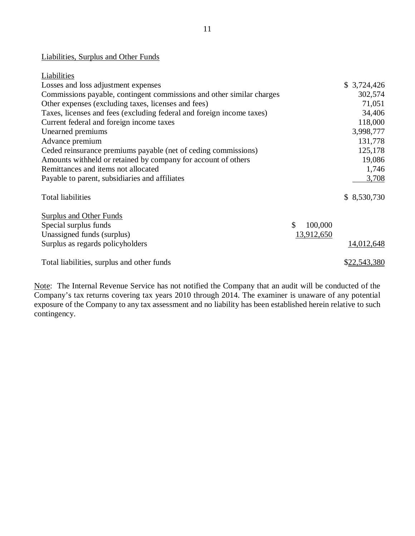#### Liabilities, Surplus and Other Funds

| Liabilities                                                           |               |              |
|-----------------------------------------------------------------------|---------------|--------------|
| Losses and loss adjustment expenses                                   |               | \$3,724,426  |
| Commissions payable, contingent commissions and other similar charges |               | 302,574      |
| Other expenses (excluding taxes, licenses and fees)                   |               | 71,051       |
| Taxes, licenses and fees (excluding federal and foreign income taxes) |               | 34,406       |
| Current federal and foreign income taxes                              |               | 118,000      |
| Unearned premiums                                                     |               | 3,998,777    |
| Advance premium                                                       |               | 131,778      |
| Ceded reinsurance premiums payable (net of ceding commissions)        |               | 125,178      |
| Amounts withheld or retained by company for account of others         |               | 19,086       |
| Remittances and items not allocated                                   |               | 1,746        |
| Payable to parent, subsidiaries and affiliates                        |               | 3,708        |
| <b>Total liabilities</b>                                              |               | \$ 8,530,730 |
| <b>Surplus and Other Funds</b>                                        |               |              |
| Special surplus funds                                                 | \$<br>100,000 |              |
| Unassigned funds (surplus)                                            | 13,912,650    |              |
| Surplus as regards policyholders                                      |               | 14,012,648   |
| Total liabilities, surplus and other funds                            |               | \$22,543,380 |

Note: The Internal Revenue Service has not notified the Company that an audit will be conducted of the Company's tax returns covering tax years 2010 through 2014. The examiner is unaware of any potential exposure of the Company to any tax assessment and no liability has been established herein relative to such contingency.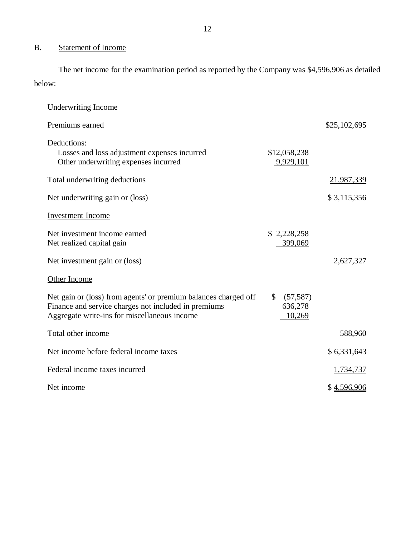#### B. Statement of Income

The net income for the examination period as reported by the Company was \$4,596,906 as detailed below:

| <b>Underwriting Income</b>                                                                                                                                              |                                                |              |
|-------------------------------------------------------------------------------------------------------------------------------------------------------------------------|------------------------------------------------|--------------|
| Premiums earned                                                                                                                                                         |                                                | \$25,102,695 |
| Deductions:<br>Losses and loss adjustment expenses incurred<br>Other underwriting expenses incurred                                                                     | \$12,058,238<br>9,929,101                      |              |
| Total underwriting deductions                                                                                                                                           |                                                | 21,987,339   |
| Net underwriting gain or (loss)                                                                                                                                         |                                                | \$3,115,356  |
| <b>Investment Income</b>                                                                                                                                                |                                                |              |
| Net investment income earned<br>Net realized capital gain                                                                                                               | \$2,228,258<br>399,069                         |              |
| Net investment gain or (loss)                                                                                                                                           |                                                | 2,627,327    |
| Other Income                                                                                                                                                            |                                                |              |
| Net gain or (loss) from agents' or premium balances charged off<br>Finance and service charges not included in premiums<br>Aggregate write-ins for miscellaneous income | $\mathbb{S}$<br>(57, 587)<br>636,278<br>10,269 |              |
| Total other income                                                                                                                                                      |                                                | 588,960      |
| Net income before federal income taxes                                                                                                                                  |                                                | \$6,331,643  |
| Federal income taxes incurred                                                                                                                                           |                                                | 1,734,737    |
| Net income                                                                                                                                                              |                                                | \$4,596,906  |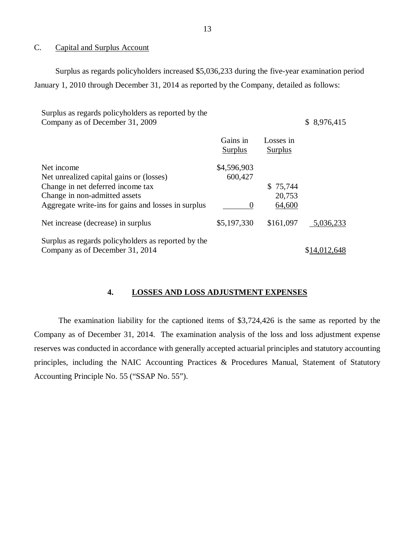#### $C_{\cdot}$ Capital and Surplus Account

 Surplus as regards policyholders increased \$5,036,233 during the five-year examination period January 1, 2010 through December 31, 2014 as reported by the Company, detailed as follows:

| Surplus as regards policyholders as reported by the<br>Company as of December 31, 2009                                                                                              |                                             |                              | \$8,976,415  |
|-------------------------------------------------------------------------------------------------------------------------------------------------------------------------------------|---------------------------------------------|------------------------------|--------------|
|                                                                                                                                                                                     | Gains in<br><b>Surplus</b>                  | Losses in<br>Surplus         |              |
| Net income<br>Net unrealized capital gains or (losses)<br>Change in net deferred income tax<br>Change in non-admitted assets<br>Aggregate write-ins for gains and losses in surplus | \$4,596,903<br>600,427<br>$\mathbf{\Omega}$ | \$75,744<br>20,753<br>64,600 |              |
| Net increase (decrease) in surplus                                                                                                                                                  | \$5,197,330                                 | \$161,097                    | 5,036,233    |
| Surplus as regards policyholders as reported by the<br>Company as of December 31, 2014                                                                                              |                                             |                              | \$14,012,648 |

#### **4. LOSSES AND LOSS ADJUSTMENT EXPENSES**

 Company as of December 31, 2014. The examination analysis of the loss and loss adjustment expense reserves was conducted in accordance with generally accepted actuarial principles and statutory accounting principles, including the NAIC Accounting Practices & Procedures Manual, Statement of Statutory Accounting Principle No. 55 ("SSAP No. 55"). The examination liability for the captioned items of \$3,724,426 is the same as reported by the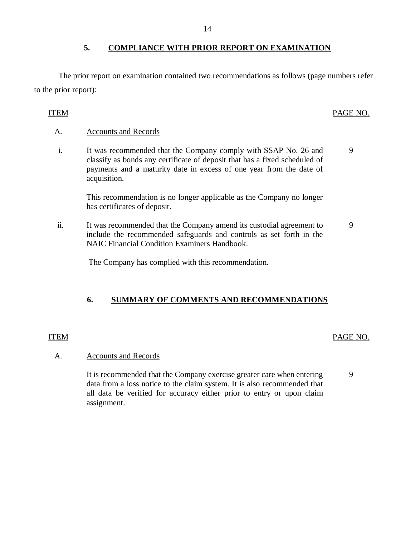#### **5. COMPLIANCE WITH PRIOR REPORT ON EXAMINATION**

 The prior report on examination contained two recommendations as follows (page numbers refer to the prior report):

#### PAGE NO. ITEM PAGE NO.

9

#### A. Accounts and Records

 i. It was recommended that the Company comply with SSAP No. 26 and classify as bonds any certificate of deposit that has a fixed scheduled of payments and a maturity date in excess of one year from the date of acquisition. 9

 This recommendation is no longer applicable as the Company no longer has certificates of deposit.

 ii. It was recommended that the Company amend its custodial agreement to include the recommended safeguards and controls as set forth in the NAIC Financial Condition Examiners Handbook.

The Company has complied with this recommendation.

### **6. SUMMARY OF COMMENTS AND RECOMMENDATIONS**

#### PAGE NO. ITEM PAGE NO.

#### A. Accounts and Records

It is recommended that the Company exercise greater care when entering 9 data from a loss notice to the claim system. It is also recommended that all data be verified for accuracy either prior to entry or upon claim assignment.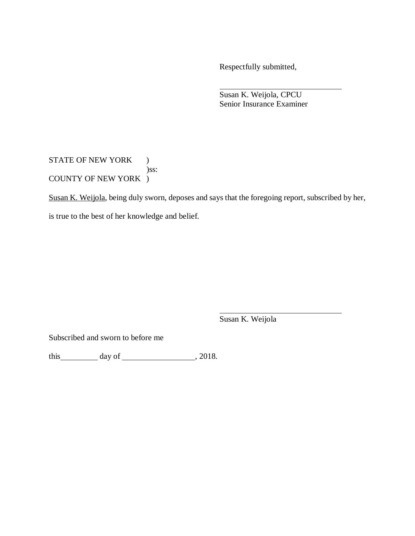Respectfully submitted,

 Senior Insurance Examiner Susan K. Weijola, CPCU

STATE OF NEW YORK ) COUNTY OF NEW YORK ) )ss:

Susan K. Weijola, being duly sworn, deposes and says that the foregoing report, subscribed by her,

is true to the best of her knowledge and belief.

Susan K. Weijola

Subscribed and sworn to before me

this  $\_\_\_\_\_\$  day of  $\_\_\_\_\_\_\_\$ , 2018.